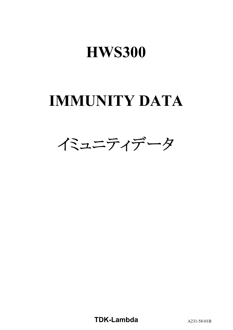# **HWS300**

# **IMMUNITY DATA**



**TDK-Lambda** A231-58-01B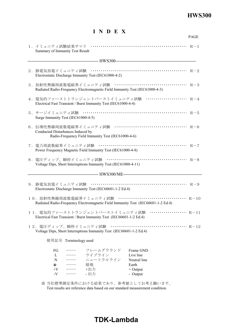## **HWS300**

## **I N D E X**

|                                                                             |                                                                     |                                                                                  | <b>PAGE</b> |
|-----------------------------------------------------------------------------|---------------------------------------------------------------------|----------------------------------------------------------------------------------|-------------|
| Summary of Immunity Test Result                                             |                                                                     |                                                                                  |             |
|                                                                             |                                                                     |                                                                                  |             |
|                                                                             | Electrostatic Discharge Immunity Test (IEC61000-4-2)                |                                                                                  |             |
| Radiated Radio-Frequency Electromagnetic Field Immunity Test (IEC61000-4-3) |                                                                     |                                                                                  |             |
|                                                                             | Electrical Fast Transient / Burst Immunity Test (IEC61000-4-4)      | 4. 電気的ファーストトランジェントバーストイミュニティ試験 ······················ R-4                        |             |
| Surge Immunity Test (IEC61000-4-5)                                          |                                                                     |                                                                                  |             |
| Conducted Disturbances Induced by                                           | Radio-Frequency Field Immunity Test (IEC61000-4-6)                  |                                                                                  |             |
|                                                                             | Power Frequency Magnetic Field Immunity Test (IEC61000-4-8)         |                                                                                  |             |
|                                                                             | Voltage Dips, Short Interruptions Immunity Test (IEC61000-4-11)     |                                                                                  |             |
|                                                                             |                                                                     |                                                                                  |             |
|                                                                             | Electrostatic Discharge Immunity Test (IEC60601-1-2 Ed.4)           |                                                                                  |             |
|                                                                             |                                                                     | Radiated Radio-Frequency Electromagnetic Field Immunity Test (IEC60601-1-2 Ed.4) |             |
|                                                                             | Electrical Fast Transient / Burst Immunity Test (IEC60601-1-2 Ed.4) | 11. 電気的ファーストトランジェントバーストイミュニティ試験 ···················· R-11                        |             |
|                                                                             | Voltage Dips, Short Interruptions Immunity Test (IEC60601-1-2 Ed.4) |                                                                                  |             |
| 使用記号 Terminology used                                                       |                                                                     |                                                                                  |             |
| FG<br>L<br>$\cdots\cdots\cdots$<br>N<br>$\cdots\cdots\cdots$                | フレームグラウンド<br>ライブライン<br><sub>ノイ フライン</sub><br>ニュートラルライン<br>接地<br>+出力 | Frame GND<br>Live line<br>Neutral line                                           |             |
| $\div$<br>$\cdots\cdots\cdots$<br>$+V$<br>$\cdots\cdots\cdots$              | +出力                                                                 | Earth<br>$+$ Output                                                              |             |

※ 当社標準測定条件における結果であり、参考値としてお考え願います。 Test results are reference data based on our standard measurement condition.

## **TDK-Lambda**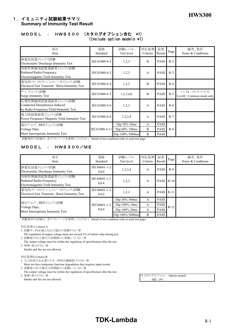## **HWS300** 1.イミュニティ試験結果サマリ **Summary of Immunity Test Result**

#### MODEL : HWS300 (カタログオプション含む \*1) (Include option models \*1)

| 項目<br>Item                                                                                      | 規格<br>Standard | 試験レベル<br>Test level | 判定基準<br>Criteria | 結果<br>Result | Page  | 備考、条件<br>Notes & Conditions                |
|-------------------------------------------------------------------------------------------------|----------------|---------------------|------------------|--------------|-------|--------------------------------------------|
| 静電気放電イミュニテイ試験<br>Electrostatic Discharge Immunity Test                                          | IEC61000-4-2   | 1,2,3               | B                | <b>PASS</b>  | $R-2$ |                                            |
| 放射性無線周波数電磁界ペュニティ試験<br>Radiated Radio-Frequency<br>Electromagnetic Field Immunity Test           | IEC61000-4-3   | 1,2,3               | A                | <b>PASS</b>  | $R-3$ |                                            |
| 電気的ファーストトランジェントバーストイミュニティ試験<br>Electrical Fast Transient / Burst Immunity Test                  | IEC61000-4-4   | 1,2,3               | B                | <b>PASS</b>  | $R-4$ |                                            |
| サージイミュニティ試験<br>Surge Immunity Test                                                              | IEC61000-4-5   | 1,2,3, (4)          | B                | <b>PASS</b>  | $R-5$ | レベル4:コモンモードのみ<br>Level4 : Common mode only |
| 伝導性無線周波数電磁界イミュニティ試験<br>Conducted Disturbances Induced<br>by Radio-Frequency Field Immunity Test | IEC61000-4-6   | 1,2,3               | A                | <b>PASS</b>  | $R-6$ |                                            |
| 電力周波数磁界代ュニティ試験<br>Power Frequency Magnetic Field Immunity Test                                  | IEC61000-4-8   | 1,2,3,4             | A                | <b>PASS</b>  | $R-7$ |                                            |
| 電圧ディップ、瞬停イミュニティ試験                                                                               |                | Dip:30% 10ms        | A                | <b>PASS</b>  |       |                                            |
| Voltage Dips,                                                                                   | IEC61000-4-11  | Dip:60% 100ms       | B                | <b>PASS</b>  | $R-8$ |                                            |
| Short Interruptions Immunity Test                                                               |                | Dip:100% 5000ms     | B                | <b>PASS</b>  |       |                                            |

試験条件の詳細は、各テストページを参照してください。 Detail of test condition refer to each test page.

#### MODEL : HWS300/ME

| 項目<br>Item                                                                             | 規格<br>Standard       | 試験レベル<br>Test level | 判定基準<br>Criteria | 結果<br>Result | Page   | 備考、条件<br>Notes & Conditions |
|----------------------------------------------------------------------------------------|----------------------|---------------------|------------------|--------------|--------|-----------------------------|
| 静電気放電イミュニテイ試験<br>Electrostatic Discharge Immunity Test                                 | IEC60601-1-2<br>Ed.4 | 1,2,3,4             | A                | <b>PASS</b>  | $R-9$  |                             |
| 放射性無線周波数電磁界イミュニティ試験<br>Radiated Radio-Frequency<br>Electromagnetic Field Immunity Test | IEC60601-1-2<br>Ed.4 | 1,2,3               | A                | <b>PASS</b>  | $R-10$ |                             |
| 電気的ファーストトランジェントバーストイミュニティ試験<br>Electrical Fast Transient / Burst Immunity Test         | IEC60601-1-2<br>Ed.4 | 1,2,3               | A                | <b>PASS</b>  | $R-11$ |                             |
|                                                                                        |                      | Dip:30% 500ms       | A                | <b>PASS</b>  |        |                             |
| 電圧ディップ、瞬停イミュニティ試験                                                                      | IEC60601-1-2         | Dip:100% 10ms       | A                | <b>PASS</b>  |        |                             |
| Voltage Dips,<br>Short Interruptions Immunity Test                                     | Ed.4                 | Dip:100% 20ms       | A                | <b>PASS</b>  | $R-12$ |                             |
|                                                                                        |                      | Dip:100% 5000ms     | B                | <b>PASS</b>  |        |                             |

試験条件の詳細は、各テストページを参照してください。 Detail of test condition refer to each test page.

判定基準A Criteria A

- 1. 試験中、5%を超える出力電圧の変動のない事
- The regulation of output voltage must not exceed 5% of initial value during test. 2. 試験後の出力電圧は初期値から変動していない事
- The output voltage must be within the regulation of specification after the test. 3. 発煙・発火のない事

Smoke and fire are not allowed.

#### 判定基準B Criteria B

- 1. 入力再投入を必要とする一時的な機能低下のない事
- Must not have temporary function degradation that requires input restart.
- 2. 試験後の出力電圧は初期値から変動していない事
- The output voltage must be within the regulation of specification after the test. 3. 発煙・発火のない事 \*1 カタログオプション Option models
- Smoke and fire are not allowed.  $/HD \, / PV$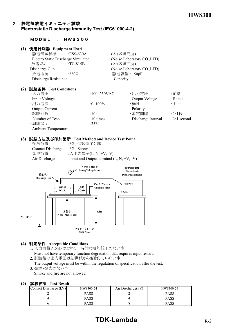#### 2.静電気放電イミュニティ試験 **Electrostatic Discharge Immunity Test (IEC61000-4-2)**

#### MODEL : HWS300

#### **(1)** 使用計測器 **Equipment Used**

| 静電気試験機               | : ESS-630A                         | (ノイズ研究所)                    |
|----------------------|------------------------------------|-----------------------------|
|                      | Electro Static Discharge Simulator | (Noise Laboratory CO., LTD) |
| 放電ガン                 | $TC-815B$                          | (ノイズ研究所)                    |
| Discharge Gun        |                                    | (Noise Laboratory CO., LTD) |
| 放電抵抗                 | :330 $\Omega$                      | 静電容量: 150pF                 |
| Discharge Resistance |                                    | Capacity                    |

#### **(2)** 試験条件 **Test Conditions**

|                    | Rated          |
|--------------------|----------------|
| ・極性                | $;+, -$        |
| Polarity           |                |
| ・放電間隔              | :>1秒           |
| Discharge Interval | $>1$ second    |
|                    |                |
|                    |                |
|                    | Output Voltage |

#### **(3)** 試験方法及び印加箇所 **Test Method and Device Test Point**

| 接触放電              | :FG、供試体ネジ部                                 |
|-------------------|--------------------------------------------|
| Contact Discharge | FG, Screw                                  |
| 気中放電              | : 入出力端子(L, N, +V, -V)                      |
| Air Discharge     | Input and Output terminal $(L, N, +V, -V)$ |



#### **(4)** 判定条件 **Acceptable Conditions**

- 1. 入力再投入を必要とする一時的な機能低下のない事 Must not have temporary function degradation that requires input restart.
- 2. 試験後の出力電圧は初期値から変動していない事 The output voltage must be within the regulation of specification after the test.
- 3. 発煙・発火のない事 Smoke and fire are not allowed.

#### **(5)** 試験結果 **Test Result**

| ---------              |           |                   |           |
|------------------------|-----------|-------------------|-----------|
| Contact Discharge (kV) | HWS300-24 | Air Discharge(kV) | HWS300-24 |
|                        | PASS      |                   | PASS      |
|                        | PASS      |                   | PASS      |
|                        | PASS      |                   | PASS      |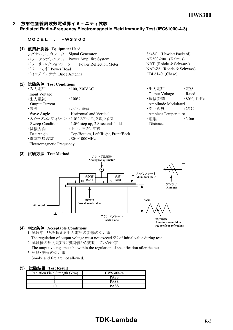8648C (Hewlett Packard)  $AK500-200$  (Kalmus) NRT (Rohde & Schwazs) NAP-Z6 (Rohde & Schwazs)

CBL6140 (Chase)

## 3.放射性無線周波数電磁界イミュニティ試験

### **Radiated Radio-Frequency Electromagnetic Field Immunity Test (IEC61000-4-3)**

#### MODEL : HWS300

#### **(1)** 使用計測器 **Equipment Used**

| シグナルジェネレータ Signal Generator |                                       |
|-----------------------------|---------------------------------------|
|                             | パワーアンプシステム Power Amplifire System     |
|                             | パワーリフレクションメーター Power Reflection Meter |
| パワーヘッド Power Head           |                                       |
| バイログアンテナ Bilog Antenna      |                                       |

#### **(2)** 試験条件 **Test Conditions**

| $:100,230$ VAC                     | ・出力電圧                                                      | :定格                                               |
|------------------------------------|------------------------------------------------------------|---------------------------------------------------|
|                                    | Output Voltage                                             | Rated                                             |
| $:100\%$                           | ・振幅変調                                                      | $:80\%$ , 1 kHz                                   |
|                                    |                                                            |                                                   |
| :水平、垂直                             | ・周囲温度                                                      | :25 $\mathrm{C}$                                  |
| Horizontal and Vertical            |                                                            |                                                   |
|                                    | ・距離                                                        | :3.0 <sub>m</sub>                                 |
| $1.0\%$ step up, 2.8 seconds hold  | Distance                                                   |                                                   |
| :上下、左右、前後                          |                                                            |                                                   |
| Top/Bottom, Left/Right, Front/Back |                                                            |                                                   |
| :80 $\sim$ 1000MHz                 |                                                            |                                                   |
|                                    |                                                            |                                                   |
|                                    | ・スイープコンディション :1.0%ステップ、2.8秒保持<br>Electromagnetic Frequency | Amplitude Modulated<br><b>Ambient Temperature</b> |

#### **(3)** 試験方法 **Test Method**



#### **(4)** 判定条件 **Acceptable Conditions**

1. 試験中、5%を超える出力電圧の変動のない事

The regulation of output voltage must not exceed 5% of initial value during test.

2. 試験後の出力電圧は初期値から変動していない事

 The output voltage must be within the regulation of specification after the test. 3. 発煙・発火のない事

Smoke and fire are not allowed.

#### **(5)** 試験結果 **Test Result**

| -- - - - - - - - - -           |             |  |  |  |
|--------------------------------|-------------|--|--|--|
| Radiation Field Strength (V/m) | HWS300-24   |  |  |  |
|                                | <b>PASS</b> |  |  |  |
|                                | <b>PASS</b> |  |  |  |
|                                | <b>PASS</b> |  |  |  |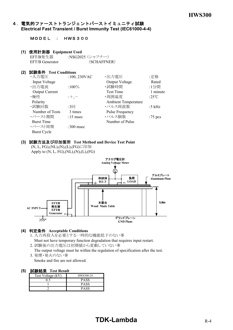#### 4. 電気的ファーストトランジェントバーストイミュニティ試験 **Electrical Fast Transient / Burst Immunity Test (IEC61000-4-4)**

MODEL : HWS300

#### **(1)** 使用計測器 **Equipment Used**

EFT/B発生器 :NSG2025 (シャフナー) EFT/B Generator (SCHAFFNER)

#### **(2)** 試験条件 **Test Conditions**

| ・入力電圧                 | $:100,230$ VAC  | ・出力電圧                      | :定格              |
|-----------------------|-----------------|----------------------------|------------------|
| Input Voltage         |                 | Output Voltage             | Rated            |
| ·出力電流                 | $:100\%$        | ・試験時間                      | :1分間             |
| <b>Output Current</b> |                 | <b>Test Time</b>           | 1 minute         |
| ・極性                   | $;+, -$         | ·周囲温度                      | :25 $\mathrm{C}$ |
| Polarity              |                 | <b>Ambient Temperature</b> |                  |
| ・試験回数                 | :3 <sub>2</sub> | ・パルス周波数                    | :5 $kHz$         |
| Number of Tests       | 3 times         | Pulse Frequency            |                  |
| ・バースト期間               | $:15$ msec      | ・パルス個数                     | :75 pcs          |
| <b>Burst Time</b>     |                 | Number of Pulse            |                  |
| ・バースト周期               | $:300$ msec     |                            |                  |
| <b>Burst Cycle</b>    |                 |                            |                  |
|                       |                 |                            |                  |

#### **(3)** 試験方法及び印加箇所 **Test Method and Device Test Point**

 (N, L, FG),(NL),(N),(L),(FG)に印加 Apply to  $(N, L, FG), (NL), (N), (L), (FG)$ 



#### **(4)** 判定条件 **Acceptable Conditions**

- 1. 入力再投入を必要とする一時的な機能低下のない事
- Must not have temporary function degradation that requires input restart. 2. 試験後の出力電圧は初期値から変動していない事
- The output voltage must be within the regulation of specification after the test. 3. 発煙・発火のない事

Smoke and fire are not allowed.

#### **(5)** 試験結果 **Test Result**

| -----------       |             |  |  |  |
|-------------------|-------------|--|--|--|
| Test Voltage (kV) | HWS300-24   |  |  |  |
|                   | <b>PASS</b> |  |  |  |
|                   | <b>PASS</b> |  |  |  |
|                   | <b>PASS</b> |  |  |  |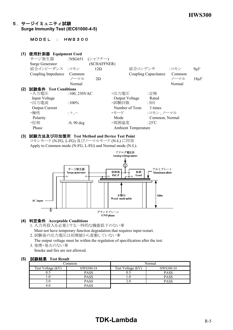#### 5.サージイミュニティ試験 **Surge Immunity Test (IEC61000-4-5)**

MODEL : HWS300

## **(1) 使用計測器 Equipment Used**<br>サージ発生器 :NSG65



#### **(3)** 試験方法及び印加箇所 **Test Method and Device Test Point** コモンモード (N-FG, L-FG) 及びノーマルモード (N-L) に印加 Apply to Common mode (N-FG, L-FG) and Normal mode (N-L).



#### **(4)** 判定条件 **Acceptable Conditions**

- 1. 入力再投入を必要とする一時的な機能低下のない事 Must not have temporary function degradation that requires input restart.
- 2. 試験後の出力電圧は初期値から変動していない事
- The output voltage must be within the regulation of specification after the test. 3. 発煙・発火のない事
	- Smoke and fire are not allowed.

#### **(5)** 試験結果 **Test Result**

| common_           |             | Normal            |             |
|-------------------|-------------|-------------------|-------------|
| Test Voltage (kV) | HWS300-24   | Test Voltage (kV) | HWS300-24   |
|                   | <b>PASS</b> | J.J               | <b>PASS</b> |
|                   | PASS        |                   | <b>PASS</b> |
|                   | <b>PASS</b> | 2.0               | <b>PASS</b> |
|                   | PASS        |                   |             |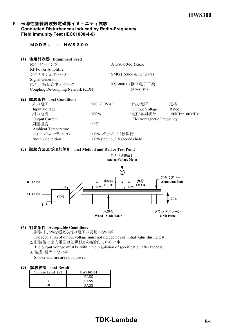#### 6. 伝導性無線周波数電磁界イミュニティ試験 **Conducted Disturbances Induced by Radio-Frequency Field Immunity Test (IEC61000-4-6)**

#### MODEL : HWS300

#### **(1)** 使用計測器 **Equipment Used**

|     | RFパワーアンプ                           |                  | A1580-50-R (R&K) |                           |                      |
|-----|------------------------------------|------------------|------------------|---------------------------|----------------------|
|     | RF Power Amplifire                 |                  |                  |                           |                      |
|     | シグナルジェネレータ                         |                  |                  | SMG (Rohde & Schwarz)     |                      |
|     | Signal Generator                   |                  |                  |                           |                      |
|     | 結合/減結合ネットワーク                       |                  |                  | KSI-8003 (協立電子工業)         |                      |
|     | Coupling De-coupling Network (CDN) |                  |                  | (Kyoritsu)                |                      |
| (2) | 試験条件 Test Conditions               |                  |                  |                           |                      |
|     | ・入力雷圧                              | $:100,230$ VAC   |                  | ・出力電圧                     | :定格                  |
|     | Input Voltage                      |                  |                  | Output Voltage            | Rated                |
|     | ・出力電流                              | $:100\%$         |                  | ・電磁界周波数                   | :150kHz $\sim$ 80MHz |
|     | <b>Output Current</b>              |                  |                  | Electromagnetic Frequency |                      |
|     | ·周囲温度                              | :25 $\degree$ C  |                  |                           |                      |
|     | <b>Ambient Temperature</b>         |                  |                  |                           |                      |
|     | ・スイープ・コンディション                      | :1.0%ステップ、2.8秒保持 |                  |                           |                      |

Sweep Condition 1.0% step up, 2.8 seconds hold

#### **(3)** 試験方法及び印加箇所 **Test Method and Device Test Point**



#### **(4)** 判定条件 **Acceptable Conditions**

- 1. 試験中、5%を超える出力電圧の変動のない事 The regulation of output voltage must not exceed 5% of initial value during test.
- 2. 試験後の出力電圧は初期値から変動していない事 The output voltage must be within the regulation of specification after the test.
- 3. 発煙・発火のない事

Smoke and fire are not allowed.

#### **(5)** 試験結果 **Test Result**

| Voltage Level (V) | HWS300-24   |
|-------------------|-------------|
|                   | <b>PASS</b> |
|                   | <b>PASS</b> |
|                   | PASS        |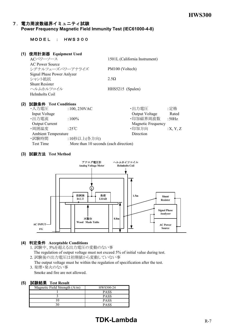#### 7.電力周波数磁界イミュニティ試験 **Power Frequency Magnetic Field Immunity Test (IEC61000-4-8)**

#### MODEL : HWS300

| (1) | 使用計測器 Equipment Used       |                               |
|-----|----------------------------|-------------------------------|
|     | ACパワーソース                   | 1501L (California Instrument) |
|     | <b>AC Power Source</b>     |                               |
|     | シグナルフェーズパワーアナライズ           | PM100 (Voltech)               |
|     | Signal Phase Power Anlyzer |                               |
|     | シャント抵抗                     | 2.5Q                          |
|     | <b>Shunt Resister</b>      |                               |
|     | ヘルムホルツコイル                  | HHS5215 (Spulen)              |
|     | Helmholts Coil             |                               |
|     |                            |                               |

#### **(2)** 試験条件 **Test Conditions**

| ・入力電圧                      | $:100,230$ VAC                        | ・出力電圧                     | :定格      |
|----------------------------|---------------------------------------|---------------------------|----------|
| Input Voltage              |                                       | Output Voltage            | Rated    |
| ・出力電流                      | $:100\%$                              | ·印加磁界周波数                  | :50Hz    |
| <b>Output Current</b>      |                                       | <b>Magnetic Frequency</b> |          |
| ・周囲温度                      | :25 $\degree$ C                       | ·印加方向                     | :X, Y, Z |
| <b>Ambient Temperature</b> |                                       | Direction                 |          |
| ・試験時間                      | :10秒以上(各方向)                           |                           |          |
| Test Time                  | More than 10 seconds (each direction) |                           |          |

#### **(3)** 試験方法 **Test Method**



#### **(4)** 判定条件 **Acceptable Conditions**

1. 試験中、5%を超える出力電圧の変動のない事 The regulation of output voltage must not exceed 5% of initial value during test.

2. 試験後の出力電圧は初期値から変動していない事

 The output voltage must be within the regulation of specification after the test. 3. 発煙・発火のない事

Smoke and fire are not allowed.

#### **(5)** 試験結果 **Test Result**

| ---------                       |             |
|---------------------------------|-------------|
| Magnetic Field Strength $(A/m)$ | HWS300-24   |
|                                 | <b>PASS</b> |
|                                 | <b>PASS</b> |
|                                 | <b>PASS</b> |
|                                 | <b>PASS</b> |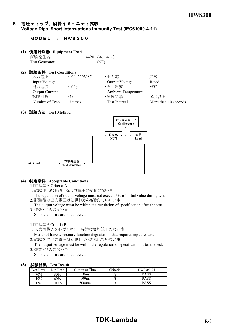#### 8.電圧ディップ、瞬停イミュニティ試験 **Voltage Dips, Short Interruptions Immunity Test (IEC61000-4-11)**

#### MODEL : HWS300

#### **(1)** 使用計測器 **Equipment Used**

試験発生器 4420 (エヌエフ) Test Generator (NF)

#### **(2)** 試験条件 **Test Conditions**

| ・入力電圧                 | $:100,230$ VAC | ・出力電圧                      | :定格                  |
|-----------------------|----------------|----------------------------|----------------------|
| Input Voltage         |                | <b>Output Voltage</b>      | Rated                |
| ・出力電流                 | $:100\%$       | ・周囲温度                      | :25 $\degree$ C      |
| <b>Output Current</b> |                | <b>Ambient Temperature</b> |                      |
| ・試験回数                 | $:3\Box$       | ・試験間隔                      | :10秒以上               |
| Number of Tests       | 3 times        | Test Interval              | More than 10 seconds |
|                       |                |                            |                      |

#### **(3)** 試験方法 **Test Method**



#### **(4)** 判定条件 **Acceptable Conditions**

判定基準A Criteria A

1. 試験中、5%を超える出力電圧の変動のない事

 The regulation of output voltage must not exceed 5% of initial value during test. 2. 試験後の出力電圧は初期値から変動していない事

- The output voltage must be within the regulation of specification after the test.
- 3. 発煙・発火のない事 Smoke and fire are not allowed.

判定基準B Criteria B

1. 入力再投入を必要とする一時的な機能低下のない事

 Must not have temporary function degradation that requires input restart. 2. 試験後の出力電圧は初期値から変動していない事

- 
- The output voltage must be within the regulation of specification after the test. 3. 発煙・発火のない事

Smoke and fire are not allowed.

#### **(5)** 試験結果 **Test Result**

| <b>Test Level</b> | Dip Rate | Continue Time | <b>Triteria</b> | HWS300-24   |
|-------------------|----------|---------------|-----------------|-------------|
| 70%               | $30\%$   | .0ms          |                 | <b>PASS</b> |
| 40%               | 60%      | $100$ ms      |                 | <b>PASS</b> |
| $0\%$             | $00\%$   | 5000ms        |                 | PASS        |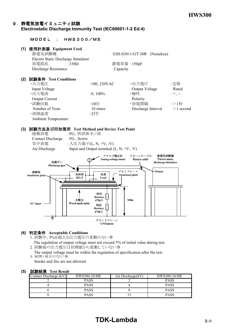#### 9.静電気放電イミュニティ試験 **Electrostatic Discharge Immunity Test (IEC60601-1-2 Ed.4)**

#### MODEL : HWS300/ME

#### **(1)** 使用計測器 **Equipment Used**

|     | 静電気試験機                             |                 |             | : ESS-S3011/GT-30R (Noiseken) |             |
|-----|------------------------------------|-----------------|-------------|-------------------------------|-------------|
|     | Electro Static Discharge Simulator |                 |             |                               |             |
|     | 放電抵抗                               | :330 $\Omega$   | 静電容量: 150pF |                               |             |
|     | Discharge Resistance               |                 | Capacity    |                               |             |
| (2) | 試験条件 Test Conditions               |                 |             |                               |             |
|     | ・入力電圧                              | $:100,230$ VAC  |             | ・出力電圧                         | :定格         |
|     | Input Voltage                      |                 |             | Output Voltage                | Rated       |
|     | ・出力電流                              | $:0,100\%$      |             | ・極性                           | $;+, -$     |
|     | <b>Output Current</b>              |                 |             | Polarity                      |             |
|     | ・試験回数                              | $:10 \square$   |             | ・放電間隔                         | :>1秒        |
|     | Number of Tests                    | 10 times        |             | Discharge Interval            | $>1$ second |
|     | ·周囲温度                              | :25 $\degree$ C |             |                               |             |
|     | <b>Ambient Temperature</b>         |                 |             |                               |             |
|     |                                    |                 |             |                               |             |

#### **(3)** 試験方法及び印加箇所 **Test Method and Device Test Point**

| 接触放電              | :FG、供試体ネジ部                                 |
|-------------------|--------------------------------------------|
| Contact Discharge | FG, Screw                                  |
| 気中放電              | : 入出力端子(L, N, +V, -V)                      |
| Air Discharge     | Input and Output terminal $(L, N, +V, -V)$ |



#### **(4)** 判定条件 **Acceptable Conditions**

- 1. 試験中、5%を超える出力電圧の変動のない事 The regulation of output voltage must not exceed 5% of initial value during test.
- 2. 試験後の出力電圧は初期値から変動していない事
- The output voltage must be within the regulation of specification after the test. 3. 発煙・発火のない事

Smoke and fire are not allowed.

#### **(5)** 試験結果 **Test Result**

| Contact Discharge (kV) | HWS300-24/ME | Air Discharge(kV) | HWS300-24/ME |
|------------------------|--------------|-------------------|--------------|
|                        | <b>PASS</b>  |                   | PASS         |
|                        | <b>PASS</b>  |                   | <b>PASS</b>  |
|                        | <b>PASS</b>  |                   | <b>PASS</b>  |
|                        | <b>PASS</b>  |                   | <b>PASS</b>  |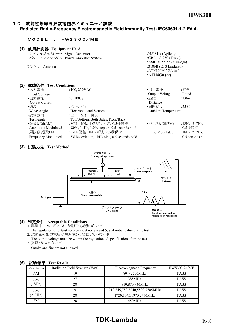#### 10. 放射性無線周波数電磁界イミュニティ試験

#### **Radiated Radio-Frequency Electromagnetic Field Immunity Test (IEC60601-1-2 Ed.4)**

#### MODEL : HWS300/ME

#### **(1)** 使用計測器 **Equipment Used**

| シグナルジェネレータ Signal Generator       | : $N5181A$ (Agilent)     |
|-----------------------------------|--------------------------|
| パワーアンプシステム Power Amplifier System | : CBA $1G-250$ (Teseq)   |
|                                   | : AS0104-55/55 (Milmega) |
| アンテナ Antenna                      | : $3106B$ (ETS Lindgren) |
|                                   | : ATH800M 5GA $(ar)$     |
|                                   | : $ATH4G8$ (ar)          |

#### **(2)** 試験条件 **Test Conditions** ・入力電圧 : 100, 230VAC ・出力電圧 : 定格<br>- Innut Voltage : 100, 230VAC Output Voltage Rated Input Voltage Rated Rated Rated Rated Rated Rated Rated Rated Rated Rated Rated Rated Rated Rated Rated Rated R<br>
2.0.100% CHL The Rated Rated Rated Rated Rated Rated Rated Rated Rated Rated Rated Rated Rated Rated Rated R ·出力電流 :0, 100% Output Current Distance ・偏波 :水平、垂直 ・周囲温度 :25℃ Wave Angle **Horizontal and Vertical** Ambient Temperature •試験方向 :上下、左右、前後 Test Angle Top/Bottom, Both Sides, Front/Back<br>・振幅変調(AM) : 80%, 1kHz, 1.0%ステップ、0.5秒保指 ·振幅変調(AM) :80%, 1kHz, 1.0%ステップ、0.5秒保持 ・パルス変調(PM) :18Hz, 217Hz,<br>Amplitude Modulated 80%, 1kHz, 1.0% step up, 0.5 seconds hold 0.5秒保持  $80\%$ , 1kHz, 1.0% step up, 0.5 seconds hold ・周波数変調(FM) :5kHz偏差、1kHz正弦、0.5秒保持 Pulse Modulated 18Hz, 217Hz,

Frequency Modulated 5kHz deviation, 1kHz sine, 0.5 seconds hold 0.5 seconds hold

#### **(3)** 試験方法 **Test Method**



#### **(4)** 判定条件 **Acceptable Conditions**

- 1. 試験中、5%を超える出力電圧の変動のない事
- The regulation of output voltage must not exceed 5% of initial value during test. 2. 試験後の出力電圧は初期値から変動していない事
- The output voltage must be within the regulation of specification after the test. 3. 発煙・発火のない事
	- Smoke and fire are not allowed.

| Modulation | Radiation Field Strength (V/m)<br>Electromagnetic Frequency |                               | HWS300-24/ME |  |  |  |
|------------|-------------------------------------------------------------|-------------------------------|--------------|--|--|--|
| AΜ         | $80\sim$ 2700MHz<br>10                                      |                               | <b>PASS</b>  |  |  |  |
| <b>PM</b>  | 27                                                          | 385MHz                        | <b>PASS</b>  |  |  |  |
| 18Hz       | 28                                                          | 810,870,930MHz                | <b>PASS</b>  |  |  |  |
| <b>PM</b>  |                                                             | 710,745,780,5240,5500,5785MHz | <b>PASS</b>  |  |  |  |
| (217Hz)    | 28                                                          | 1720,1845,1970,2450MHz        | <b>PASS</b>  |  |  |  |
| FM.        | 28                                                          | 450MHz                        | <b>PASS</b>  |  |  |  |

#### **(5)** 試験結果 **Test Result**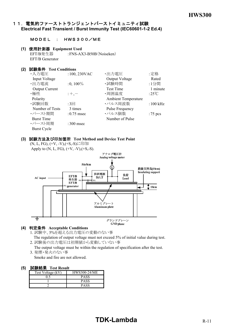#### 11. 電気的ファーストトランジェントバーストイミュニティ試験 **Electrical Fast Transient / Burst Immunity Test (IEC60601-1-2 Ed.4)**

#### MODEL : HWS300/ME

#### **(1)** 使用計測器 **Equipment Used**

EFT/B発生器 :FNS-AX3-B50B(Noiseken) EFT/B Generator

#### **(2)** 試験条件 **Test Conditions**

| ・入力電圧                 | :100, 230VAC | ・出力電圧                      | :定格                  |
|-----------------------|--------------|----------------------------|----------------------|
| Input Voltage         |              | Output Voltage             | Rated                |
| ·出力電流                 | $:0,100\%$   | ·試験時間                      | :1分間                 |
| <b>Output Current</b> |              | <b>Test Time</b>           | 1 minute             |
| ・極性                   | $: +, -$     | ・周囲温度                      | :25 $\mathrm{C}$     |
| Polarity              |              | <b>Ambient Temperature</b> |                      |
| ・試験回数                 | :3回          | ・パルス周波数                    | $:100 \mathrm{~kHz}$ |
| Number of Tests       | 3 times      | <b>Pulse Frequency</b>     |                      |
| ・バースト期間               | $:0.75$ msec | ・パルス個数                     | :75 pcs              |
| <b>Burst Time</b>     |              | Number of Pulse            |                      |
| ・バースト周期               | $:300$ msec  |                            |                      |
| <b>Burst Cycle</b>    |              |                            |                      |

#### **(3)** 試験方法及び印加箇所 **Test Method and Device Test Point**

(N, L, FG), (+V, -V),(+S,-S)に印加 Apply to  $(N, L, FG), (+V, -V), (+S, -S).$ 



#### **(4)** 判定条件 **Acceptable Conditions**

- 1. 試験中、5%を超える出力電圧の変動のない事 The regulation of output voltage must not exceed 5% of initial value during test.
- 2. 試験後の出力電圧は初期値から変動していない事
- The output voltage must be within the regulation of specification after the test.
- 3. 発煙・発火のない事 Smoke and fire are not allowed.

#### **(5)** 試験結果 **Test Result**

| ------<br>T COL TILOMIL |                     |  |
|-------------------------|---------------------|--|
| Test Voltage (kV)       | <b>HWS300-24/ME</b> |  |
|                         | PASS                |  |
|                         | <b>PASS</b>         |  |
|                         | <b>PASS</b>         |  |